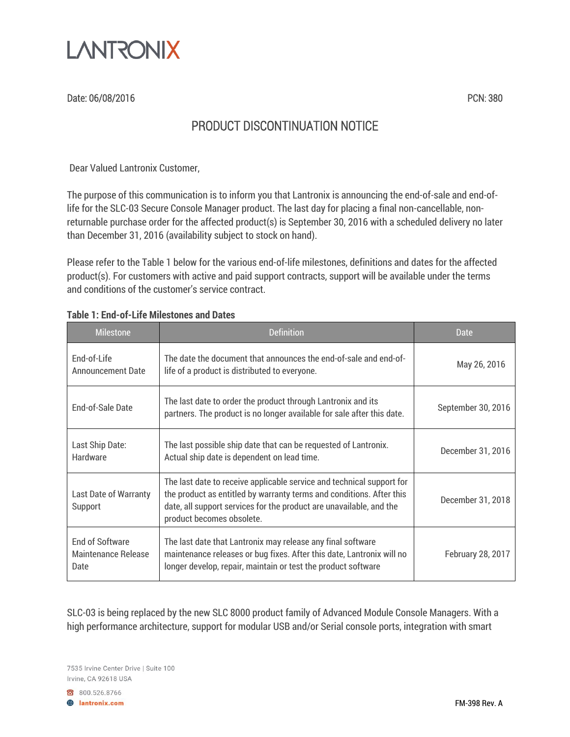

Date: 06/08/2016 PCN: 380

## PRODUCT DISCONTINUATION NOTICE

Dear Valued Lantronix Customer,

The purpose of this communication is to inform you that Lantronix is announcing the end-of-sale and end-oflife for the SLC-03 Secure Console Manager product. The last day for placing a final non-cancellable, nonreturnable purchase order for the affected product(s) is September 30, 2016 with a scheduled delivery no later than December 31, 2016 (availability subject to stock on hand).

Please refer to the Table 1 below for the various end-of-life milestones, definitions and dates for the affected product(s). For customers with active and paid support contracts, support will be available under the terms and conditions of the customer's service contract.

| <b>Milestone</b>                                             | <b>Definition</b>                                                                                                                                                                                                                                 | <b>Date</b>        |
|--------------------------------------------------------------|---------------------------------------------------------------------------------------------------------------------------------------------------------------------------------------------------------------------------------------------------|--------------------|
| <b>End-of-Life</b><br><b>Announcement Date</b>               | The date the document that announces the end-of-sale and end-of-<br>life of a product is distributed to everyone.                                                                                                                                 | May 26, 2016       |
| End-of-Sale Date                                             | The last date to order the product through Lantronix and its<br>partners. The product is no longer available for sale after this date.                                                                                                            | September 30, 2016 |
| Last Ship Date:<br>Hardware                                  | The last possible ship date that can be requested of Lantronix.<br>Actual ship date is dependent on lead time.                                                                                                                                    | December 31, 2016  |
| <b>Last Date of Warranty</b><br>Support                      | The last date to receive applicable service and technical support for<br>the product as entitled by warranty terms and conditions. After this<br>date, all support services for the product are unavailable, and the<br>product becomes obsolete. | December 31, 2018  |
| <b>End of Software</b><br><b>Maintenance Release</b><br>Date | The last date that Lantronix may release any final software<br>maintenance releases or bug fixes. After this date, Lantronix will no<br>longer develop, repair, maintain or test the product software                                             | February 28, 2017  |

#### **Table 1: End-of-Life Milestones and Dates**

SLC-03 is being replaced by the new SLC 8000 product family of Advanced Module Console Managers. With a high performance architecture, support for modular USB and/or Serial console ports, integration with smart

7535 Irvine Center Drive | Suite 100 Irvine, CA 92618 USA

800.526.8766

**A** lantronix.com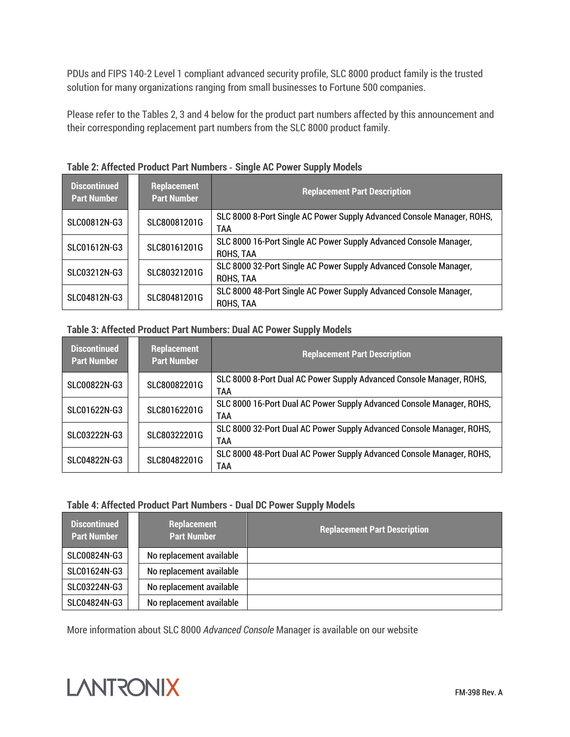PDUs and FIPS 140-2 Level 1 compliant advanced security profile, SLC 8000 product family is the trusted solution for many organizations ranging from small businesses to Fortune 500 companies.

Please refer to the Tables 2, 3 and 4 below for the product part numbers affected by this announcement and their corresponding replacement part numbers from the SLC 8000 product family.

| <b>Discontinued</b><br><b>Part Number</b> | <b>Replacement</b><br><b>Part Number</b> | <b>Replacement Part Description</b>                                            |
|-------------------------------------------|------------------------------------------|--------------------------------------------------------------------------------|
| SLC00812N-G3                              | SLC80081201G                             | SLC 8000 8-Port Single AC Power Supply Advanced Console Manager, ROHS,<br>TAA  |
| SLC01612N-G3                              | SLC80161201G                             | SLC 8000 16-Port Single AC Power Supply Advanced Console Manager,<br>ROHS, TAA |
| SLC03212N-G3                              | SLC80321201G                             | SLC 8000 32-Port Single AC Power Supply Advanced Console Manager,<br>ROHS, TAA |
| SLC04812N-G3                              | SLC80481201G                             | SLC 8000 48-Port Single AC Power Supply Advanced Console Manager,<br>ROHS, TAA |

**Table 2: Affected Product Part Numbers** *-* **Single AC Power Supply Models**

#### **Table 3: Affected Product Part Numbers: Dual AC Power Supply Models**

| <b>Discontinued</b><br><b>Part Number</b> | <b>Replacement</b><br><b>Part Number</b> | <b>Replacement Part Description</b>                                          |
|-------------------------------------------|------------------------------------------|------------------------------------------------------------------------------|
| SLC00822N-G3                              | SLC80082201G                             | SLC 8000 8-Port Dual AC Power Supply Advanced Console Manager, ROHS,<br>TAA  |
| SLC01622N-G3                              | SLC80162201G                             | SLC 8000 16-Port Dual AC Power Supply Advanced Console Manager, ROHS,<br>TAA |
| SLC03222N-G3                              | SLC80322201G                             | SLC 8000 32-Port Dual AC Power Supply Advanced Console Manager, ROHS,<br>TAA |
| SLC04822N-G3                              | SLC80482201G                             | SLC 8000 48-Port Dual AC Power Supply Advanced Console Manager, ROHS,<br>TAA |

#### **Table 4: Affected Product Part Numbers - Dual DC Power Supply Models**

| Discontinued<br><b>Part Number</b> | <b>Replacement</b><br><b>Part Number</b> | <b>Replacement Part Description</b> |
|------------------------------------|------------------------------------------|-------------------------------------|
| SLC00824N-G3                       | No replacement available                 |                                     |
| SLC01624N-G3                       | No replacement available                 |                                     |
| SLC03224N-G3                       | No replacement available                 |                                     |
| SLC04824N-G3                       | No replacement available                 |                                     |

More information about SLC 8000 *Advanced Console* Manager is available on our website

# **LANTRONIX**